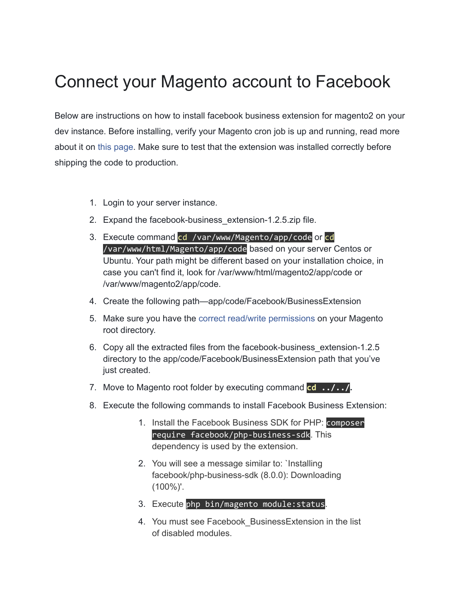## Connect your Magento account to Facebook

Below are instructions on how to install facebook business extension for magento2 on your dev instance. Before installing, verify your Magento cron job is up and running, read more about it on this [page.](https://l.facebook.com/l.php?u=https%3A%2F%2Fdevdocs.magento.com%2Fguides%2Fv2.3%2Fconfig-guide%2Fcli%2Fconfig-cli-subcommands-cron.html&h=AT3sK3QxhsTvNVsNNiLWuZWPpVfBnx8gVT5yHwSVcoAIbWd6LH1WFtuoBjjhLvd91BWBgRRWsExZa2sY5UPwIKQjTIBhnWkdURfdvs7-vmmnTvNv8GMq32zZDyXB35evdeO_LL_lTd_SADACWVeoPTP_ZEk) Make sure to test that the extension was installed correctly before shipping the code to production.

- 1. Login to your server instance.
- 2. Expand the facebook-business extension-1.2.5.zip file.
- 3. Execute command cd /var/www/Magento/app/code or cd /var/www/html/Magento/app/code based on your server Centos or Ubuntu. Your path might be different based on your installation choice, in case you can't find it, look for /var/www/html/magento2/app/code or /var/www/magento2/app/code.
- 4. Create the following path—app/code/Facebook/BusinessExtension
- 5. Make sure you have the correct read/write [permissions](https://l.facebook.com/l.php?u=https%3A%2F%2Fmagento.stackexchange.com%2Fquestions%2F91870%2Fmagento-2-folder-file-permissions&h=AT2s8V795gjkiLjppDC2B2PdZsrwzGgg7IXFRk75jpbafFuDVrUjNr7SAe75kOXm3p_K_JFxA-JqPLCJ8bVWDfmL2VdkcsNMRRSWlwnILQQOlgnku9Pf35LtH7CJzgBBzWdA8yY-jWMY-gfMW1UISWypECA) on your Magento root directory.
- 6. Copy all the extracted files from the facebook-business\_extension-1.2.5 directory to the app/code/Facebook/BusinessExtension path that you've just created.
- 7. Move to Magento root folder by executing command **cd ../../.**
- 8. Execute the following commands to install Facebook Business Extension:
	- 1. Install the Facebook Business SDK for PHP: composer require facebook/php-business-sdk. This dependency is used by the extension.
	- 2. You will see a message similar to: `Installing facebook/php-business-sdk (8.0.0): Downloading (100%)'.
	- 3. Execute php bin/magento module: status.
	- 4. You must see Facebook\_BusinessExtension in the list of disabled modules.